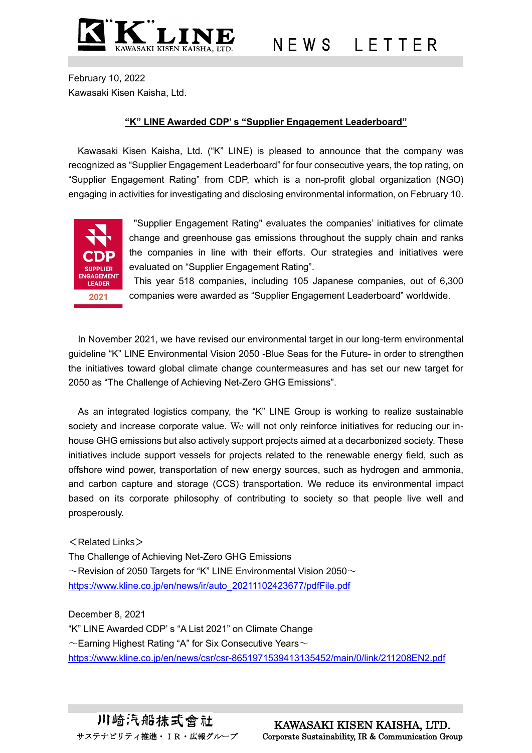

February 10, 2022 Kawasaki Kisen Kaisha, Ltd.

## **"K" LINE Awarded CDP' s "Supplier Engagement Leaderboard"**

Kawasaki Kisen Kaisha, Ltd. ("K" LINE) is pleased to announce that the company was recognized as "Supplier Engagement Leaderboard" for four consecutive years, the top rating, on "Supplier Engagement Rating" from CDP, which is a non-profit global organization (NGO) engaging in activities for investigating and disclosing environmental information, on February 10.



"Supplier Engagement Rating" evaluates the companies' initiatives for climate change and greenhouse gas emissions throughout the supply chain and ranks the companies in line with their efforts. Our strategies and initiatives were evaluated on "Supplier Engagement Rating".

This year 518 companies, including 105 Japanese companies, out of 6,300 companies were awarded as "Supplier Engagement Leaderboard" worldwide.

In November 2021, we have revised our environmental target in our long-term environmental guideline "K" LINE Environmental Vision 2050 -Blue Seas for the Future- in order to strengthen the initiatives toward global climate change countermeasures and has set our new target for 2050 as "The Challenge of Achieving Net-Zero GHG Emissions".

As an integrated logistics company, the "K" LINE Group is working to realize sustainable society and increase corporate value. We will not only reinforce initiatives for reducing our inhouse GHG emissions but also actively support projects aimed at a decarbonized society. These initiatives include support vessels for projects related to the renewable energy field, such as offshore wind power, transportation of new energy sources, such as hydrogen and ammonia, and carbon capture and storage (CCS) transportation. We reduce its environmental impact based on its corporate philosophy of contributing to society so that people live well and prosperously.

## $<$ Related Links $>$

The Challenge of Achieving Net-Zero GHG Emissions  $\sim$ Revision of 2050 Targets for "K" LINE Environmental Vision 2050 $\sim$ [https://www.kline.co.jp/en/news/ir/auto\\_20211102423677/pdfFile.pdf](https://www.kline.co.jp/en/news/ir/auto_20211102423677/pdfFile.pdf)

December 8, 2021 "K" LINE Awarded CDP' s "A List 2021" on Climate Change  $\sim$ Earning Highest Rating "A" for Six Consecutive Years $\sim$ <https://www.kline.co.jp/en/news/csr/csr-8651971539413135452/main/0/link/211208EN2.pdf>